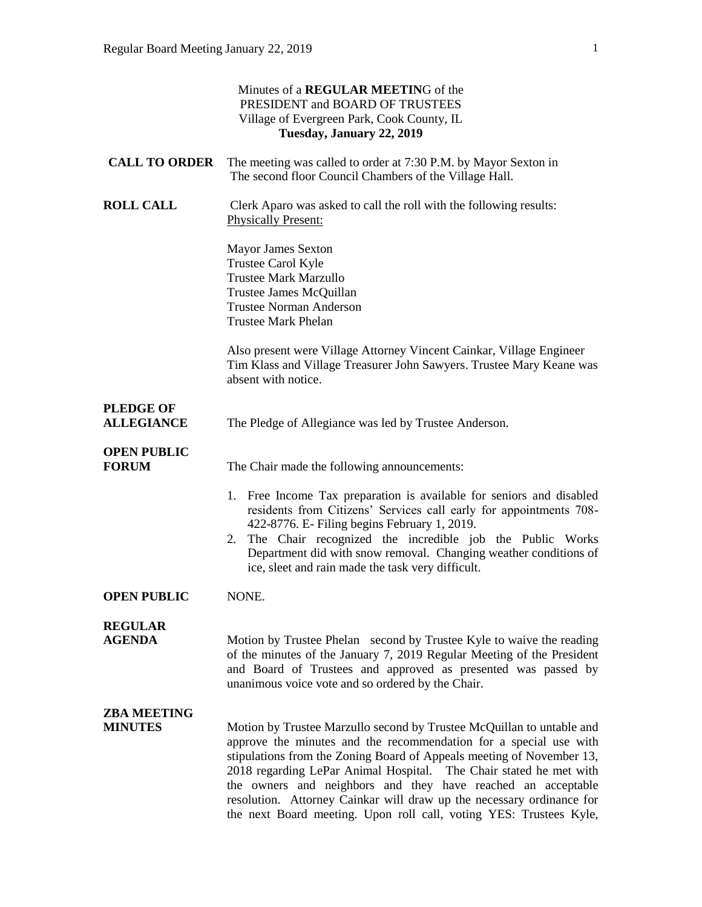|                                       | Minutes of a REGULAR MEETING of the<br>PRESIDENT and BOARD OF TRUSTEES<br>Village of Evergreen Park, Cook County, IL<br>Tuesday, January 22, 2019                                                                                                                                                                                                                                                                                                                                                        |
|---------------------------------------|----------------------------------------------------------------------------------------------------------------------------------------------------------------------------------------------------------------------------------------------------------------------------------------------------------------------------------------------------------------------------------------------------------------------------------------------------------------------------------------------------------|
| <b>CALL TO ORDER</b>                  | The meeting was called to order at 7:30 P.M. by Mayor Sexton in<br>The second floor Council Chambers of the Village Hall.                                                                                                                                                                                                                                                                                                                                                                                |
| <b>ROLL CALL</b>                      | Clerk Aparo was asked to call the roll with the following results:<br><b>Physically Present:</b>                                                                                                                                                                                                                                                                                                                                                                                                         |
|                                       | <b>Mayor James Sexton</b><br>Trustee Carol Kyle<br><b>Trustee Mark Marzullo</b><br>Trustee James McQuillan<br><b>Trustee Norman Anderson</b><br><b>Trustee Mark Phelan</b>                                                                                                                                                                                                                                                                                                                               |
|                                       | Also present were Village Attorney Vincent Cainkar, Village Engineer<br>Tim Klass and Village Treasurer John Sawyers. Trustee Mary Keane was<br>absent with notice.                                                                                                                                                                                                                                                                                                                                      |
| <b>PLEDGE OF</b><br><b>ALLEGIANCE</b> | The Pledge of Allegiance was led by Trustee Anderson.                                                                                                                                                                                                                                                                                                                                                                                                                                                    |
| <b>OPEN PUBLIC</b><br><b>FORUM</b>    | The Chair made the following announcements:                                                                                                                                                                                                                                                                                                                                                                                                                                                              |
|                                       | 1. Free Income Tax preparation is available for seniors and disabled<br>residents from Citizens' Services call early for appointments 708-<br>422-8776. E- Filing begins February 1, 2019.<br>The Chair recognized the incredible job the Public Works<br>2.<br>Department did with snow removal. Changing weather conditions of<br>ice, sleet and rain made the task very difficult.                                                                                                                    |
| <b>OPEN PUBLIC</b>                    | <b>NONE</b>                                                                                                                                                                                                                                                                                                                                                                                                                                                                                              |
| <b>REGULAR</b><br><b>AGENDA</b>       | Motion by Trustee Phelan second by Trustee Kyle to waive the reading<br>of the minutes of the January 7, 2019 Regular Meeting of the President<br>and Board of Trustees and approved as presented was passed by<br>unanimous voice vote and so ordered by the Chair.                                                                                                                                                                                                                                     |
| <b>ZBA MEETING</b><br><b>MINUTES</b>  | Motion by Trustee Marzullo second by Trustee McQuillan to untable and<br>approve the minutes and the recommendation for a special use with<br>stipulations from the Zoning Board of Appeals meeting of November 13,<br>2018 regarding LePar Animal Hospital. The Chair stated he met with<br>the owners and neighbors and they have reached an acceptable<br>resolution. Attorney Cainkar will draw up the necessary ordinance for<br>the next Board meeting. Upon roll call, voting YES: Trustees Kyle, |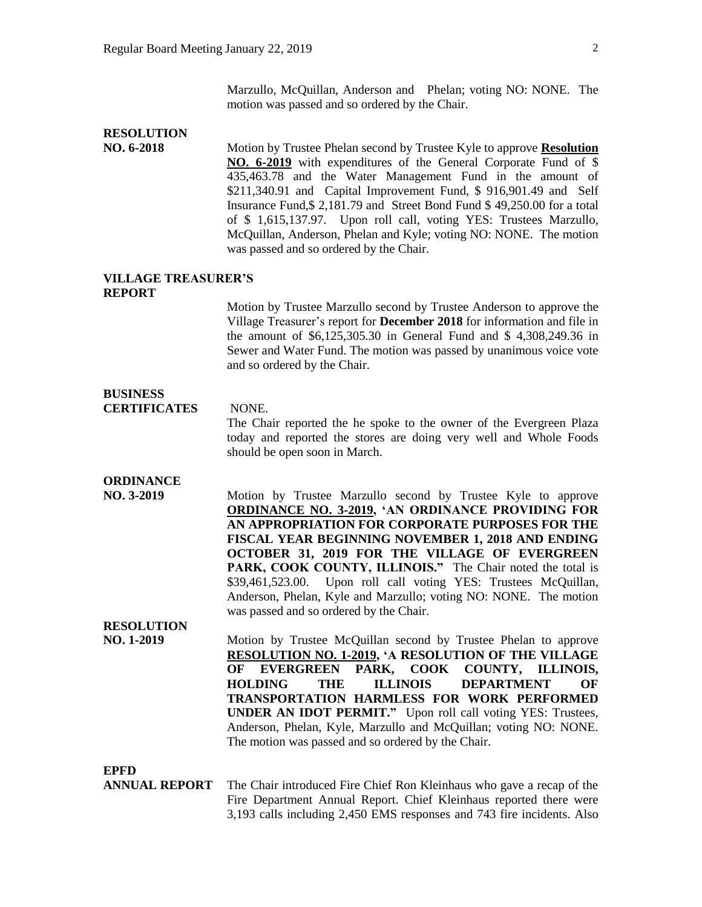Marzullo, McQuillan, Anderson and Phelan; voting NO: NONE. The motion was passed and so ordered by the Chair.

## **RESOLUTION**

**NO. 6-2018** Motion by Trustee Phelan second by Trustee Kyle to approve **Resolution NO. 6-2019** with expenditures of the General Corporate Fund of \$ 435,463.78 and the Water Management Fund in the amount of \$211,340.91 and Capital Improvement Fund, \$ 916,901.49 and Self Insurance Fund,\$ 2,181.79 and Street Bond Fund \$ 49,250.00 for a total of \$ 1,615,137.97. Upon roll call, voting YES: Trustees Marzullo, McQuillan, Anderson, Phelan and Kyle; voting NO: NONE. The motion was passed and so ordered by the Chair.

### **VILLAGE TREASURER'S REPORT**

Motion by Trustee Marzullo second by Trustee Anderson to approve the Village Treasurer's report for **December 2018** for information and file in the amount of \$6,125,305.30 in General Fund and \$ 4,308,249.36 in Sewer and Water Fund. The motion was passed by unanimous voice vote and so ordered by the Chair.

## **BUSINESS**

**CERTIFICATES** NONE.

The Chair reported the he spoke to the owner of the Evergreen Plaza today and reported the stores are doing very well and Whole Foods should be open soon in March.

### **ORDINANCE**

**NO. 3-2019** Motion by Trustee Marzullo second by Trustee Kyle to approve **ORDINANCE NO. 3-2019, 'AN ORDINANCE PROVIDING FOR AN APPROPRIATION FOR CORPORATE PURPOSES FOR THE FISCAL YEAR BEGINNING NOVEMBER 1, 2018 AND ENDING OCTOBER 31, 2019 FOR THE VILLAGE OF EVERGREEN**  PARK, COOK COUNTY, ILLINOIS." The Chair noted the total is \$39,461,523.00. Upon roll call voting YES: Trustees McQuillan, Anderson, Phelan, Kyle and Marzullo; voting NO: NONE. The motion was passed and so ordered by the Chair.

# **RESOLUTION**

**NO. 1-2019** Motion by Trustee McQuillan second by Trustee Phelan to approve **RESOLUTION NO. 1-2019, 'A RESOLUTION OF THE VILLAGE OF EVERGREEN PARK, COOK COUNTY, ILLINOIS, HOLDING THE ILLINOIS DEPARTMENT OF TRANSPORTATION HARMLESS FOR WORK PERFORMED UNDER AN IDOT PERMIT."** Upon roll call voting YES: Trustees, Anderson, Phelan, Kyle, Marzullo and McQuillan; voting NO: NONE. The motion was passed and so ordered by the Chair.

### **EPFD**

**ANNUAL REPORT** The Chair introduced Fire Chief Ron Kleinhaus who gave a recap of the Fire Department Annual Report. Chief Kleinhaus reported there were 3,193 calls including 2,450 EMS responses and 743 fire incidents. Also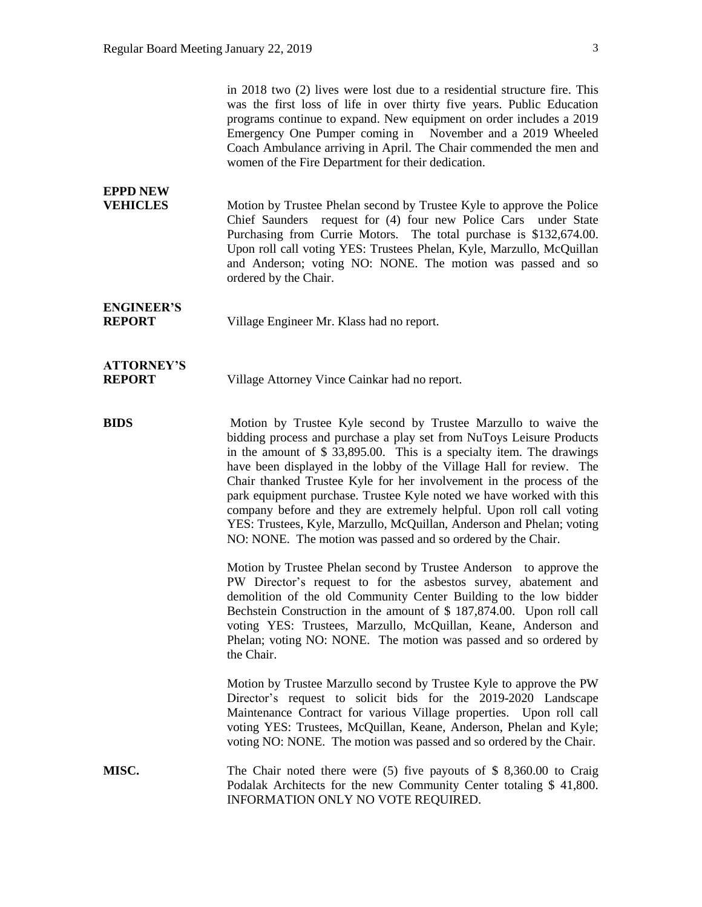|                                    | in 2018 two (2) lives were lost due to a residential structure fire. This<br>was the first loss of life in over thirty five years. Public Education<br>programs continue to expand. New equipment on order includes a 2019<br>Emergency One Pumper coming in November and a 2019 Wheeled<br>Coach Ambulance arriving in April. The Chair commended the men and<br>women of the Fire Department for their dedication.                                                                                                                                                                                                                                      |
|------------------------------------|-----------------------------------------------------------------------------------------------------------------------------------------------------------------------------------------------------------------------------------------------------------------------------------------------------------------------------------------------------------------------------------------------------------------------------------------------------------------------------------------------------------------------------------------------------------------------------------------------------------------------------------------------------------|
| <b>EPPD NEW</b><br><b>VEHICLES</b> | Motion by Trustee Phelan second by Trustee Kyle to approve the Police<br>Chief Saunders request for (4) four new Police Cars under State<br>Purchasing from Currie Motors. The total purchase is \$132,674.00.<br>Upon roll call voting YES: Trustees Phelan, Kyle, Marzullo, McQuillan<br>and Anderson; voting NO: NONE. The motion was passed and so<br>ordered by the Chair.                                                                                                                                                                                                                                                                           |
| <b>ENGINEER'S</b><br><b>REPORT</b> | Village Engineer Mr. Klass had no report.                                                                                                                                                                                                                                                                                                                                                                                                                                                                                                                                                                                                                 |
| <b>ATTORNEY'S</b><br><b>REPORT</b> | Village Attorney Vince Cainkar had no report.                                                                                                                                                                                                                                                                                                                                                                                                                                                                                                                                                                                                             |
| <b>BIDS</b>                        | Motion by Trustee Kyle second by Trustee Marzullo to waive the<br>bidding process and purchase a play set from NuToys Leisure Products<br>in the amount of $$33,895.00$ . This is a specialty item. The drawings<br>have been displayed in the lobby of the Village Hall for review. The<br>Chair thanked Trustee Kyle for her involvement in the process of the<br>park equipment purchase. Trustee Kyle noted we have worked with this<br>company before and they are extremely helpful. Upon roll call voting<br>YES: Trustees, Kyle, Marzullo, McQuillan, Anderson and Phelan; voting<br>NO: NONE. The motion was passed and so ordered by the Chair. |
|                                    | Motion by Trustee Phelan second by Trustee Anderson to approve the<br>PW Director's request to for the asbestos survey, abatement and<br>demolition of the old Community Center Building to the low bidder<br>Bechstein Construction in the amount of \$187,874.00. Upon roll call<br>voting YES: Trustees, Marzullo, McQuillan, Keane, Anderson and<br>Phelan; voting NO: NONE. The motion was passed and so ordered by<br>the Chair.                                                                                                                                                                                                                    |
|                                    | Motion by Trustee Marzullo second by Trustee Kyle to approve the PW<br>Director's request to solicit bids for the 2019-2020 Landscape<br>Maintenance Contract for various Village properties. Upon roll call<br>voting YES: Trustees, McQuillan, Keane, Anderson, Phelan and Kyle;<br>voting NO: NONE. The motion was passed and so ordered by the Chair.                                                                                                                                                                                                                                                                                                 |
| MISC.                              | The Chair noted there were $(5)$ five payouts of \$ 8,360.00 to Craig<br>Podalak Architects for the new Community Center totaling \$41,800.<br>INFORMATION ONLY NO VOTE REQUIRED.                                                                                                                                                                                                                                                                                                                                                                                                                                                                         |